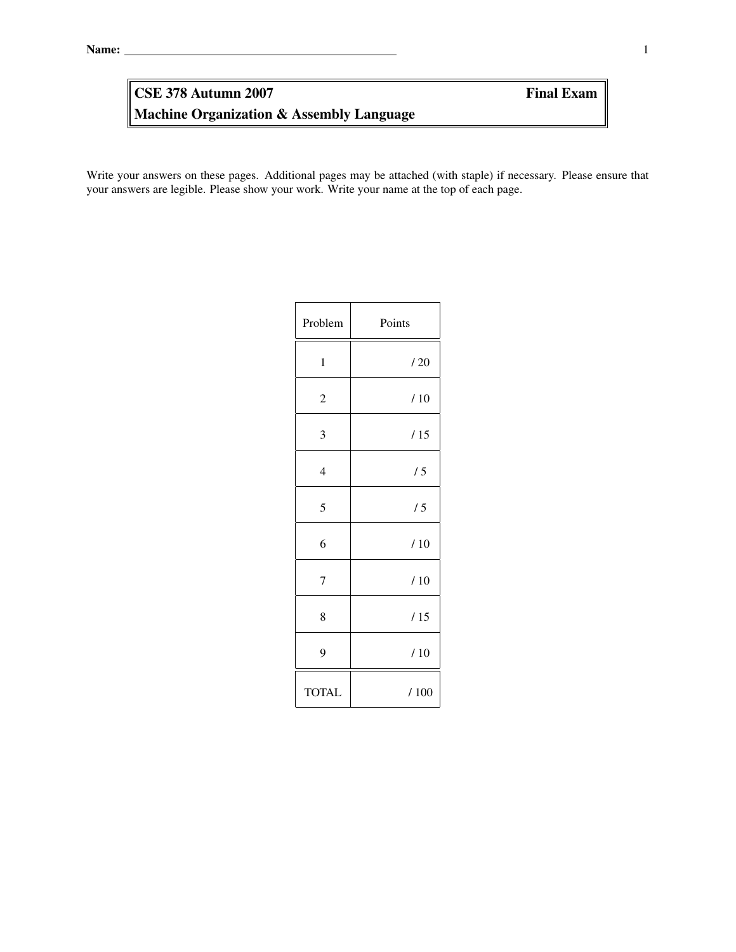# Machine Organization & Assembly Language **CSE 378 Autumn 2007** Final Exam

Write your answers on these pages. Additional pages may be attached (with staple) if necessary. Please ensure that your answers are legible. Please show your work. Write your name at the top of each page.

| Problem        | Points |
|----------------|--------|
| $\mathbf{1}$   | /20    |
| $\overline{c}$ | /10    |
| 3              | /15    |
| $\overline{4}$ | /5     |
| 5              | /5     |
| 6              | /10    |
| $\overline{7}$ | /10    |
| 8              | /15    |
| 9              | /10    |
| <b>TOTAL</b>   | /100   |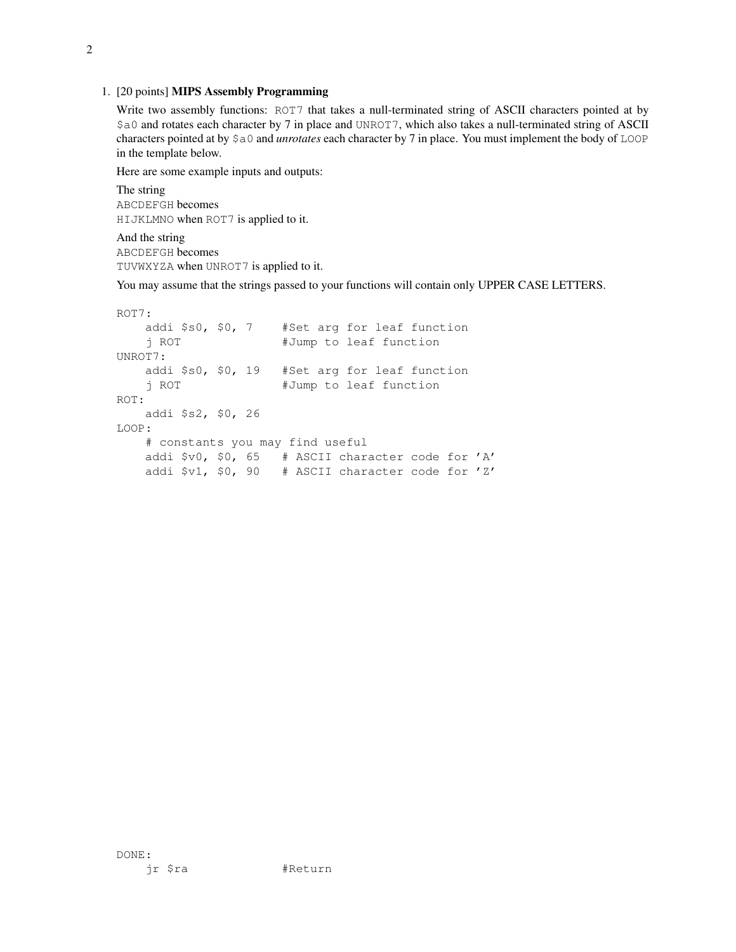#### 1. [20 points] MIPS Assembly Programming

Write two assembly functions: ROT7 that takes a null-terminated string of ASCII characters pointed at by \$a0 and rotates each character by 7 in place and UNROT7, which also takes a null-terminated string of ASCII characters pointed at by \$a0 and *unrotates* each character by 7 in place. You must implement the body of LOOP in the template below.

Here are some example inputs and outputs:

The string ABCDEFGH becomes HIJKLMNO when ROT7 is applied to it.

And the string ABCDEFGH becomes TUVWXYZA when UNROT7 is applied to it.

You may assume that the strings passed to your functions will contain only UPPER CASE LETTERS.

```
ROT7:
   addi $s0, $0, 7 #Set arg for leaf function
   j ROT +Jump to leaf function
UNROT7:
   addi $s0, $0, 19 #Set arg for leaf function
   j ROT #Jump to leaf function
ROT:
   addi $s2, $0, 26
LOOP:
   # constants you may find useful
   addi $v0, $0, 65 # ASCII character code for 'A'
   addi $v1, $0, 90 # ASCII character code for 'Z'
```
DONE: jr \$ra #Return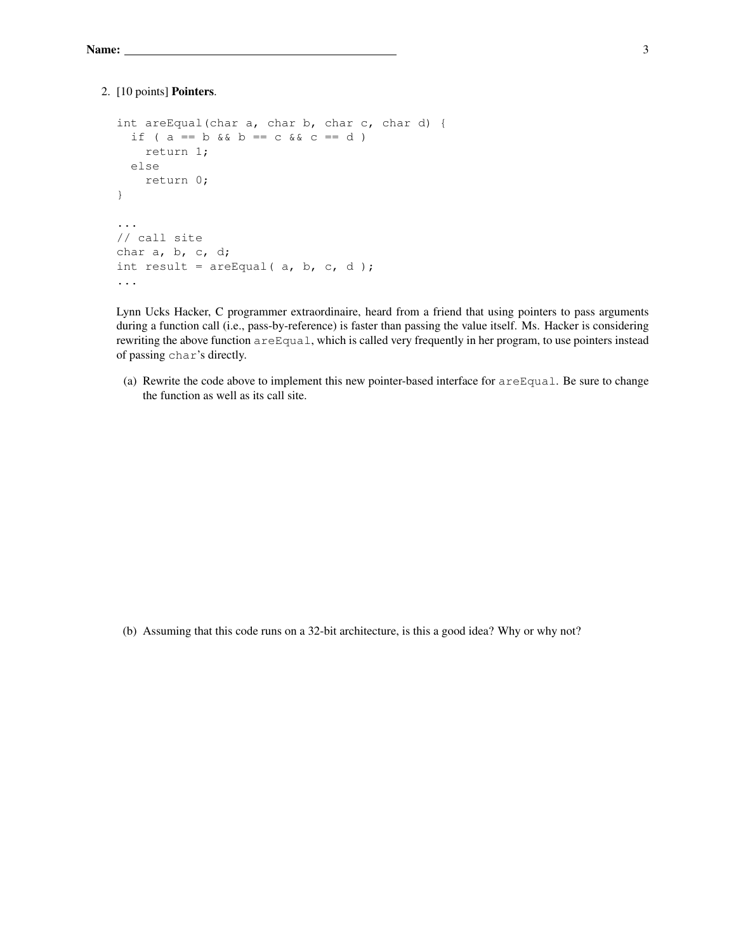# 2. [10 points] Pointers.

```
int areEqual(char a, char b, char c, char d) {
 if ( a == b & b == c & c == d )
    return 1;
 else
    return 0;
}
...
// call site
char a, b, c, d;
int result = areEqual( a, b, c, d );
...
```
Lynn Ucks Hacker, C programmer extraordinaire, heard from a friend that using pointers to pass arguments during a function call (i.e., pass-by-reference) is faster than passing the value itself. Ms. Hacker is considering rewriting the above function areEqual, which is called very frequently in her program, to use pointers instead of passing char's directly.

(a) Rewrite the code above to implement this new pointer-based interface for areEqual. Be sure to change the function as well as its call site.

(b) Assuming that this code runs on a 32-bit architecture, is this a good idea? Why or why not?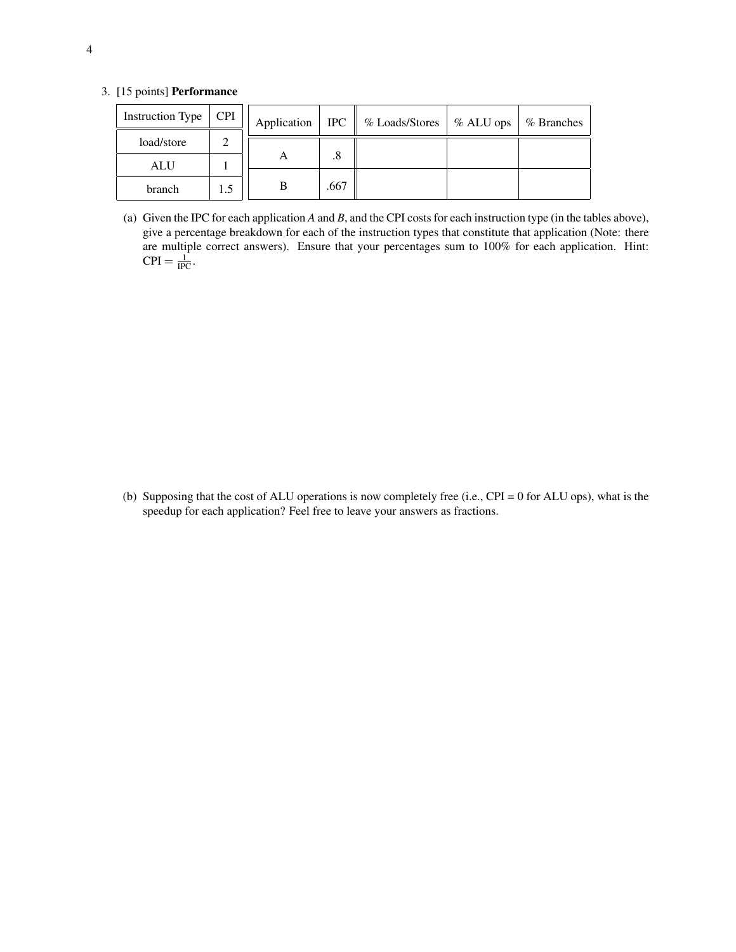# 3. [15 points] Performance

| Instruction Type | <b>CPI</b> | Application | <b>IPC</b> | % Loads/Stores | $%ALU$ ops | % Branches |
|------------------|------------|-------------|------------|----------------|------------|------------|
| load/store       |            |             |            |                |            |            |
| <b>ALU</b>       |            | A           | .8         |                |            |            |
| branch           |            | В           | .667       |                |            |            |

(a) Given the IPC for each application *A* and *B*, and the CPI costs for each instruction type (in the tables above), give a percentage breakdown for each of the instruction types that constitute that application (Note: there are multiple correct answers). Ensure that your percentages sum to 100% for each application. Hint:  $\text{CPI} = \frac{1}{\text{IPC}}$ .

(b) Supposing that the cost of ALU operations is now completely free (i.e., CPI = 0 for ALU ops), what is the speedup for each application? Feel free to leave your answers as fractions.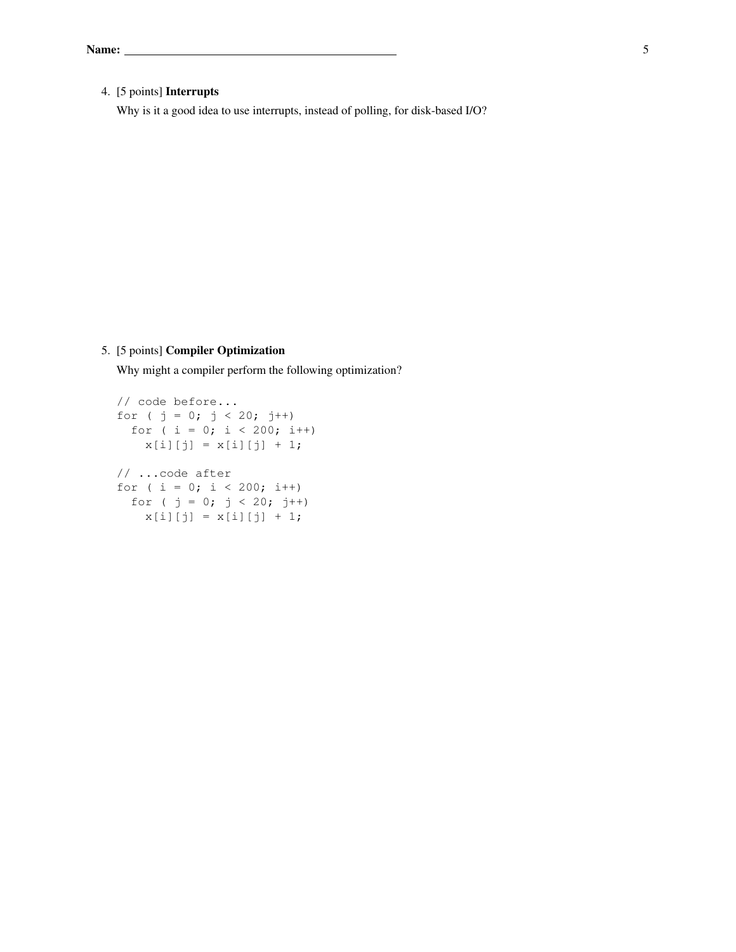# 4. [5 points] Interrupts

Why is it a good idea to use interrupts, instead of polling, for disk-based I/O?

# 5. [5 points] Compiler Optimization

Why might a compiler perform the following optimization?

```
// code before...
for ( j = 0; j < 20; j++)for ( i = 0; i < 200; i++)x[i][j] = x[i][j] + 1;// ...code after
for ( i = 0; i < 200; i++)for ( j = 0; j < 20; j++)x[i][j] = x[i][j] + 1;
```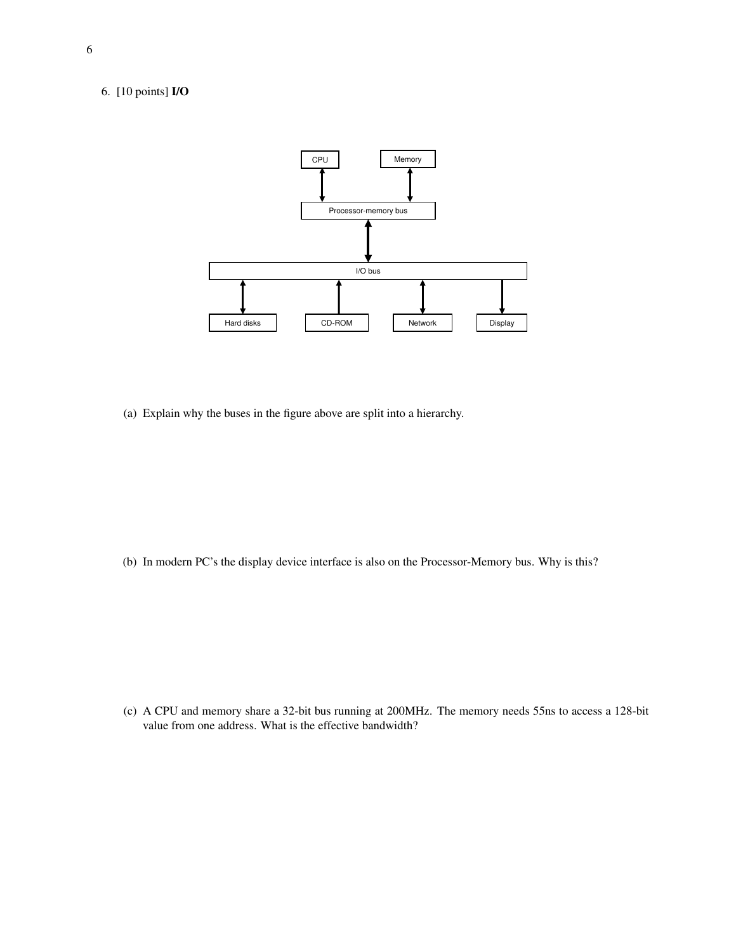# 6. [10 points] I/O



(a) Explain why the buses in the figure above are split into a hierarchy.

(b) In modern PC's the display device interface is also on the Processor-Memory bus. Why is this?

(c) A CPU and memory share a 32-bit bus running at 200MHz. The memory needs 55ns to access a 128-bit value from one address. What is the effective bandwidth?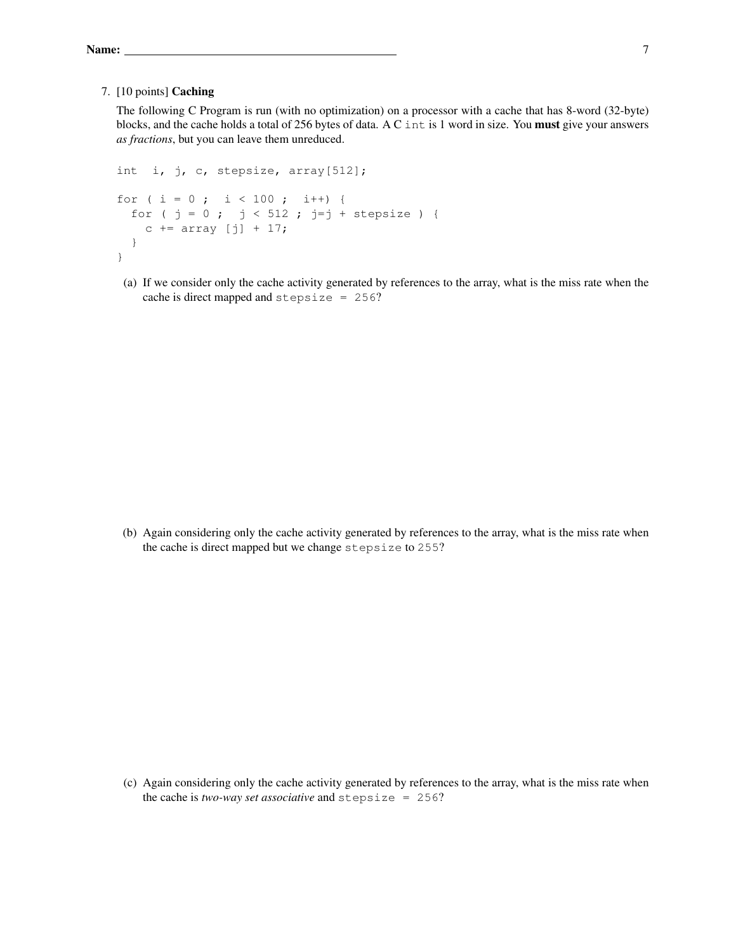#### 7. [10 points] Caching

The following C Program is run (with no optimization) on a processor with a cache that has 8-word (32-byte) blocks, and the cache holds a total of 256 bytes of data. A C int is 1 word in size. You must give your answers *as fractions*, but you can leave them unreduced.

```
int i, j, c, stepsize, array[512];
for ( i = 0 ; i < 100 ; i++) {
 for ( j = 0 ; j < 512 ; j=j + stepsize ) {
   c += array [j] + 17;
 }
}
```
(a) If we consider only the cache activity generated by references to the array, what is the miss rate when the cache is direct mapped and stepsize = 256?

(b) Again considering only the cache activity generated by references to the array, what is the miss rate when the cache is direct mapped but we change stepsize to 255?

(c) Again considering only the cache activity generated by references to the array, what is the miss rate when the cache is *two-way set associative* and stepsize = 256?